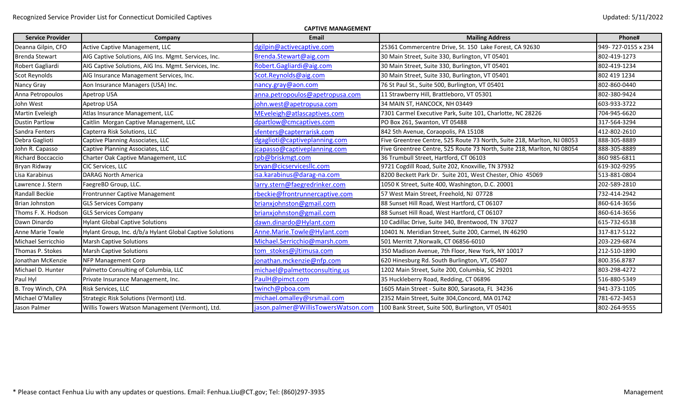| <b>CAPTIVE MANAGEMENT</b> |                                                          |                                     |                                                                         |                    |  |  |
|---------------------------|----------------------------------------------------------|-------------------------------------|-------------------------------------------------------------------------|--------------------|--|--|
| <b>Service Provider</b>   | Company                                                  | Email                               | <b>Mailing Address</b>                                                  | Phone#             |  |  |
| Deanna Gilpin, CFO        | Active Captive Management, LLC                           | dgilpin@activecaptive.com           | 25361 Commercentre Drive, St. 150 Lake Forest, CA 92630                 | 949-727-0155 x 234 |  |  |
| <b>Brenda Stewart</b>     | AIG Captive Solutions, AIG Ins. Mgmt. Services, Inc.     | Brenda.Stewart@aig.com              | 30 Main Street, Suite 330, Burlington, VT 05401                         | 802-419-1273       |  |  |
| Robert Gagliardi          | AIG Captive Solutions, AIG Ins. Mgmt. Services, Inc.     | Robert.Gagliardi@aig.com            | 30 Main Street, Suite 330, Burlington, VT 05401                         | 802-419-1234       |  |  |
| Scot Reynolds             | AIG Insurance Management Services, Inc.                  | Scot.Reynolds@aig.com               | 30 Main Street, Suite 330, Burlington, VT 05401                         | 802 419 1234       |  |  |
| Nancy Gray                | Aon Insurance Managers (USA) Inc.                        | nancy.gray@aon.com                  | 76 St Paul St., Suite 500, Burlington, VT 05401                         | 802-860-0440       |  |  |
| Anna Petropoulos          | Apetrop USA                                              | anna.petropoulos@apetropusa.com     | 11 Strawberry Hill, Brattleboro, VT 05301                               | 802-380-9424       |  |  |
| John West                 | Apetrop USA                                              | john.west@apetropusa.com            | 34 MAIN ST, HANCOCK, NH 03449                                           | 603-933-3722       |  |  |
| Martin Eveleigh           | Atlas Insurance Management, LLC                          | MEveleigh@atlascaptives.com         | 7301 Carmel Executive Park, Suite 101, Charlotte, NC 28226              | 704-945-6620       |  |  |
| <b>Dustin Partlow</b>     | Caitlin Morgan Captive Management, LLC                   | dpartlow@cmcaptives.com             | PO Box 261, Swanton, VT 05488                                           | 317-564-3294       |  |  |
| Sandra Fenters            | Capterra Risk Solutions, LLC                             | sfenters@capterrarisk.com           | 842 5th Avenue, Coraopolis, PA 15108                                    | 412-802-2610       |  |  |
| Debra Gaglioti            | Captive Planning Associates, LLC                         | dgaglioti@captiveplanning.com       | Five Greentree Centre, 525 Route 73 North, Suite 218, Marlton, NJ 08053 | 888-305-8889       |  |  |
| John R. Capasso           | Captive Planning Associates, LLC                         | capasso@captiveplanning.com         | Five Greentree Centre, 525 Route 73 North, Suite 218, Marlton, NJ 08054 | 888-305-8889       |  |  |
| Richard Boccaccio         | Charter Oak Captive Management, LLC                      | rpb@briskmgt.com                    | 36 Trumbull Street, Hartford, CT 06103                                  | 860 985-6811       |  |  |
| Bryan Ridway              | <b>CIC Services, LLC</b>                                 | bryan@cicservicesllc.com            | 9721 Cogdill Road, Suite 202, Knoxville, TN 37932                       | 619-302-9295       |  |  |
| Lisa Karabinus            | <b>DARAG North America</b>                               | sa.karabinus@darag-na.com           | 8200 Beckett Park Dr. Suite 201, West Chester, Ohio 45069               | 513-881-0804       |  |  |
| Lawrence J. Stern         | FaegreBD Group, LLC.                                     | larry.stern@faegredrinker.com       | 1050 K Street, Suite 400, Washington, D.C. 20001                        | 202-589-2810       |  |  |
| Randall Beckie            | Frontrunner Captive Management                           | rbeckie@frontrunnercaptive.com      | 57 West Main Street, Freehold, NJ 07728                                 | 732-414-2942       |  |  |
| <b>Brian Johnston</b>     | <b>GLS Services Company</b>                              | brianxjohnston@gmail.com            | 88 Sunset Hill Road, West Hartford, CT 06107                            | 860-614-3656       |  |  |
| Thoms F. X. Hodson        | <b>GLS Services Company</b>                              | brianxjohnston@gmail.com            | 88 Sunset Hill Road, West Hartford, CT 06107                            | 860-614-3656       |  |  |
| Dawn Dinardo              | <b>Hylant Global Captive Solutions</b>                   | dawn.dinardo@Hylant.com             | 10 Cadillac Drive, Suite 340, Brentwood, TN 37027                       | 615-732-6538       |  |  |
| Anne Marie Towle          | Hylant Group, Inc. d/b/a Hylant Global Captive Solutions | Anne.Marie.Towle@Hylant.com         | 10401 N. Meridian Street, Suite 200, Carmel, IN 46290                   | 317-817-5122       |  |  |
| Michael Serricchio        | <b>Marsh Captive Solutions</b>                           | Michael.Serricchio@marsh.com        | 501 Merritt 7, Norwalk, CT 06856-6010                                   | 203-229-6874       |  |  |
| Thomas P. Stokes          | <b>Marsh Captive Solutions</b>                           | tom stokes@jltimusa.com             | 350 Madison Avenue, 7th Floor, New York, NY 10017                       | 212-510-1890       |  |  |
| Jonathan McKenzie         | <b>NFP Management Corp</b>                               | jonathan.mckenzie@nfp.com           | 620 Hinesburg Rd. South Burlington, VT, 05407                           | 800.356.8787       |  |  |
| Michael D. Hunter         | Palmetto Consulting of Columbia, LLC                     | michael@palmettoconsulting.us       | 1202 Main Street, Suite 200, Columbia, SC 29201                         | 803-298-4272       |  |  |
| Paul Hyl                  | Private Insurance Management, Inc.                       | PaulH@pimct.com                     | 35 Huckleberry Road, Redding, CT 06896                                  | 516-880-5349       |  |  |
| B. Troy Winch, CPA        | Risk Services, LLC                                       | twinch@pboa.com                     | 1605 Main Street - Suite 800, Sarasota, FL 34236                        | 941-373-1105       |  |  |
| Michael O'Malley          | Strategic Risk Solutions (Vermont) Ltd.                  | michael.omalley@srsmail.com         | 2352 Main Street, Suite 304, Concord, MA 01742                          | 781-672-3453       |  |  |
| Jason Palmer              | Willis Towers Watson Management (Vermont), Ltd.          | jason.palmer@WillisTowersWatson.com | 100 Bank Street, Suite 500, Burlington, VT 05401                        | 802-264-9555       |  |  |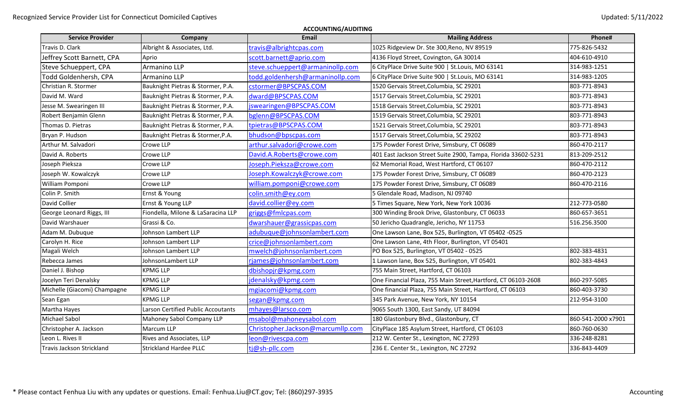| <b>ACCOUNTING/AUDITING</b>       |                                    |                                   |                                                               |                    |  |
|----------------------------------|------------------------------------|-----------------------------------|---------------------------------------------------------------|--------------------|--|
| <b>Service Provider</b>          | Company                            | <b>Email</b>                      | <b>Mailing Address</b>                                        | Phone#             |  |
| Travis D. Clark                  | Albright & Associates, Ltd.        | travis@albrightcpas.com           | 1025 Ridgeview Dr. Ste 300, Reno, NV 89519                    | 775-826-5432       |  |
| Jeffrey Scott Barnett, CPA       | Aprio                              | scott.barnett@aprio.com           | 4136 Floyd Street, Covington, GA 30014                        | 404-610-4910       |  |
| Steve Schueppert, CPA            | Armanino LLP                       | steve.schueppert@armaninollp.com  | 6 CityPlace Drive Suite 900   St.Louis, MO 63141              | 314-983-1251       |  |
| Todd Goldenhersh, CPA            | Armanino LLP                       | todd.goldenhersh@armaninollp.com  | 6 CityPlace Drive Suite 900   St.Louis, MO 63141              | 314-983-1205       |  |
| Christian R. Stormer             | Bauknight Pietras & Stormer, P.A.  | cstormer@BPSCPAS.COM              | 1520 Gervais Street, Columbia, SC 29201                       | 803-771-8943       |  |
| David M. Ward                    | Bauknight Pietras & Stormer, P.A.  | dward@BPSCPAS.COM                 | 1517 Gervais Street, Columbia, SC 29201                       | 803-771-8943       |  |
| Jesse M. Swearingen III          | Bauknight Pietras & Stormer, P.A.  | jswearingen@BPSCPAS.COM           | 1518 Gervais Street, Columbia, SC 29201                       | 803-771-8943       |  |
| Robert Benjamin Glenn            | Bauknight Pietras & Stormer, P.A.  | bglenn@BPSCPAS.COM                | 1519 Gervais Street, Columbia, SC 29201                       | 803-771-8943       |  |
| Thomas D. Pietras                | Bauknight Pietras & Stormer, P.A.  | tpietras@BPSCPAS.COM              | 1521 Gervais Street, Columbia, SC 29201                       | 803-771-8943       |  |
| Bryan P. Hudson                  | Bauknight Pietras & Stormer, P.A.  | bhudson@bpscpas.com               | 1517 Gervais Street, Columbia, SC 29202                       | 803-771-8943       |  |
| Arthur M. Salvadori              | Crowe LLP                          | arthur.salvadori@crowe.com        | 175 Powder Forest Drive, Simsbury, CT 06089                   | 860-470-2117       |  |
| David A. Roberts                 | Crowe LLP                          | David.A.Roberts@crowe.com         | 401 East Jackson Street Suite 2900, Tampa, Florida 33602-5231 | 813-209-2512       |  |
| Joseph Pieksza                   | Crowe LLP                          | Joseph.Pieksza@crowe.com          | 62 Memorial Road, West Hartford, CT 06107                     | 860-470-2112       |  |
| Joseph W. Kowalczyk              | Crowe LLP                          | Joseph.Kowalczyk@crowe.com        | 175 Powder Forest Drive, Simsbury, CT 06089                   | 860-470-2123       |  |
| William Pomponi                  | Crowe LLP                          | william.pomponi@crowe.com         | 175 Powder Forest Drive, Simsbury, CT 06089                   | 860-470-2116       |  |
| Colin P. Smith                   | Ernst & Young                      | colin.smith@ey.com                | 5 Glendale Road, Madison, NJ 09740                            |                    |  |
| David Collier                    | Ernst & Young LLP                  | david.collier@ey.com              | 5 Times Square, New York, New York 10036                      | 212-773-0580       |  |
| George Leonard Riggs, III        | Fiondella, Milone & LaSaracina LLP | griggs@fmlcpas.com                | 300 Winding Brook Drive, Glastonbury, CT 06033                | 860-657-3651       |  |
| David Warshauer                  | Grassi & Co.                       | dwarshauer@grassicpas.com         | 50 Jericho Quadrangle, Jericho, NY 11753                      | 516.256.3500       |  |
| Adam M. Dubuque                  | Johnson Lambert LLP                | adubuque@johnsonlambert.com       | One Lawson Lane, Box 525, Burlington, VT 05402 -0525          |                    |  |
| Carolyn H. Rice                  | Johnson Lambert LLP                | crice@johnsonlambert.com          | One Lawson Lane, 4th Floor, Burlington, VT 05401              |                    |  |
| Magali Welch                     | Johnson Lambert LLP                | mwelch@johnsonlambert.com         | PO Box 525, Burlington, VT 05402 - 0525                       | 802-383-4831       |  |
| Rebecca James                    | JohnsonLambert LLP                 | rjames@johnsonlambert.com         | 1 Lawson lane, Box 525, Burlington, VT 05401                  | 802-383-4843       |  |
| Daniel J. Bishop                 | <b>KPMG LLP</b>                    | dbishopjr@kpmg.com                | 755 Main Street, Hartford, CT 06103                           |                    |  |
| Jocelyn Teri Denalsky            | <b>KPMG LLP</b>                    | jdenalsky@kpmg.com                | One Financial Plaza, 755 Main Street, Hartford, CT 06103-2608 | 860-297-5085       |  |
| Michelle (Giacomi) Champagne     | <b>KPMG LLP</b>                    | mgiacomi@kpmg.com                 | One financial Plaza, 755 Main Street, Hartford, CT 06103      | 860-403-3730       |  |
| Sean Egan                        | KPMG LLP                           | segan@kpmg.com                    | 345 Park Avenue, New York, NY 10154                           | 212-954-3100       |  |
| Martha Hayes                     | Larson Certified Public Accoutants | mhayes@larsco.com                 | 9065 South 1300, East Sandy, UT 84094                         |                    |  |
| <b>Michael Sabol</b>             | Mahoney Sabol Company LLP          | msabol@mahoneysabol.com           | 180 Glastonbury Blvd., Glastonbury, CT                        | 860-541-2000 x7901 |  |
| Christopher A. Jackson           | Marcum LLP                         | Christopher.Jackson@marcumllp.com | CityPlace 185 Asylum Street, Hartford, CT 06103               | 860-760-0630       |  |
| Leon L. Rives II                 | Rives and Associates, LLP          | leon@rivescpa.com                 | 212 W. Center St., Lexington, NC 27293                        | 336-248-8281       |  |
| <b>Travis Jackson Strickland</b> | <b>Strickland Hardee PLLC</b>      | tj@sh-pllc.com                    | 236 E. Center St., Lexington, NC 27292                        | 336-843-4409       |  |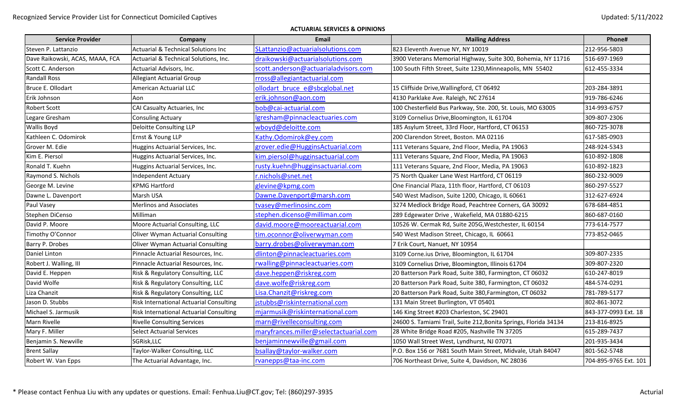## **ACTUARIAL SERVICES & OPINIONS**

| <b>Service Provider</b>         | Company                                        | <b>Email</b>                           | <b>Mailing Address</b>                                           | Phone#                |
|---------------------------------|------------------------------------------------|----------------------------------------|------------------------------------------------------------------|-----------------------|
| Steven P. Lattanzio             | <b>Actuarial &amp; Technical Solutions Inc</b> | SLattanzio@actuarialsolutions.com      | 823 Eleventh Avenue NY, NY 10019                                 | 212-956-5803          |
| Dave Raikowski, ACAS, MAAA, FCA | Actuarial & Technical Solutions, Inc.          | draikowski@actuarialsolutions.com      | 3900 Veterans Memorial Highway, Suite 300, Bohemia, NY 11716     | 516-697-1969          |
| Scott C. Anderson               | Actuarial Advisors, Inc.                       | scott.anderson@actuarialadvisors.com   | 100 South Fifth Street, Suite 1230, Minneapolis, MN 55402        | 612-455-3334          |
| <b>Randall Ross</b>             | <b>Allegiant Actuarial Group</b>               | rross@allegiantactuarial.com           |                                                                  |                       |
| Bruce E. Ollodart               | American Actuarial LLC                         | ollodart bruce e@sbcglobal.net         | 15 Cliffside Drive, Wallingford, CT 06492                        | 203-284-3891          |
| Erik Johnson                    | Aon                                            | erik.johnson@aon.com                   | 4130 Parklake Ave. Raleigh, NC 27614                             | 919-786-6246          |
| <b>Robert Scott</b>             | CAI Casualty Actuaries, Inc                    | bob@cai-actuarial.com                  | 100 Chesterfield Bus Parkway, Ste. 200, St. Louis, MO 63005      | 314-993-6757          |
| Legare Gresham                  | <b>Consuling Actuary</b>                       | lgresham@pinnacleactuaries.com         | 3109 Cornelius Drive, Bloomington, IL 61704                      | 309-807-2306          |
| <b>Wallis Boyd</b>              | Deloitte Consulting LLP                        | wboyd@deloitte.com                     | 185 Asylum Street, 33rd Floor, Hartford, CT 06153                | 860-725-3078          |
| Kathleen C. Odomirok            | Ernst & Young LLP                              | Kathy.Odomirok@ey.com                  | 200 Clarendon Street, Boston. MA 02116                           | 617-585-0903          |
| Grover M. Edie                  | Huggins Actuarial Services, Inc.               | grover.edie@HugginsActuarial.com       | 111 Veterans Square, 2nd Floor, Media, PA 19063                  | 248-924-5343          |
| Kim E. Piersol                  | Huggins Actuarial Services, Inc.               | kim.piersol@hugginsactuarial.com       | 111 Veterans Square, 2nd Floor, Media, PA 19063                  | 610-892-1808          |
| Ronald T. Kuehn                 | Huggins Actuarial Services, Inc.               | rusty.kuehn@hugginsactuarial.com       | 111 Veterans Square, 2nd Floor, Media, PA 19063                  | 610-892-1823          |
| Raymond S. Nichols              | Independent Actuary                            | r.nichols@snet.net                     | 75 North Quaker Lane West Hartford, CT 06119                     | 860-232-9009          |
| George M. Levine                | <b>KPMG Hartford</b>                           | glevine@kpmg.com                       | One Financial Plaza, 11th floor, Hartford, CT 06103              | 860-297-5527          |
| Dawne L. Davenport              | Marsh USA                                      | Dawne.Davenport@marsh.com              | 540 West Madison, Suite 1200, Chicago, IL 60661                  | 312-627-6924          |
| Paul Vasey                      | <b>Merlinos and Associates</b>                 | tvasey@merlinosinc.com                 | 3274 Medlock Bridge Road, Peachtree Corners, GA 30092            | 678-684-4851          |
| Stephen DiCenso                 | Milliman                                       | stephen.dicenso@milliman.com           | 289 Edgewater Drive, Wakefield, MA 01880-6215                    | 860-687-0160          |
| David P. Moore                  | Moore Actuarial Consulting, LLC                | david.moore@mooreactuarial.com         | 10526 W. Cermak Rd, Suite 205G, Westchester, IL 60154            | 773-614-7577          |
| Timothy O'Connor                | Oliver Wyman Actuarial Consulting              | tim.oconnor@oliverwyman.com            | 540 West Madison Street, Chicago, IL 60661                       | 773-852-0465          |
| Barry P. Drobes                 | Oliver Wyman Actuarial Consulting              | barry.drobes@oliverwyman.com           | 7 Erik Court, Nanuet, NY 10954                                   |                       |
| Daniel Linton                   | Pinnacle Actuarial Resources, Inc.             | dlinton@pinnacleactuaries.com          | 3109 Corne.ius Drive, Bloomington, IL 61704                      | 309-807-2335          |
| Robert J. Walling, III          | Pinnacle Actuarial Resources, Inc.             | rwalling@pinnacleactuaries.com         | 3109 Cornelius Drive, Bloomington, Illinois 61704                | 309-807-2320          |
| David E. Heppen                 | Risk & Regulatory Consulting, LLC              | dave.heppen@riskreg.com                | 20 Batterson Park Road, Suite 380, Farmington, CT 06032          | 610-247-8019          |
| David Wolfe                     | Risk & Regulatory Consulting, LLC              | dave.wolfe@riskreg.com                 | 20 Batterson Park Road, Suite 380, Farmington, CT 06032          | 484-574-0291          |
| Liza Chanzit                    | Risk & Regulatory Consulting, LLC              | Lisa. Chanzit@riskreg.com              | 20 Batterson Park Road, Suite 380, Farmington, CT 06032          | 781-789-5177          |
| Jason D. Stubbs                 | Risk International Actuarial Consulting        | jstubbs@riskinternational.com          | 131 Main Street Burlington, VT 05401                             | 802-861-3072          |
| Michael S. Jarmusik             | Risk International Actuarial Consulting        | mjarmusik@riskinternational.com        | 146 King Street #203 Charleston, SC 29401                        | 843-377-0993 Ext. 18  |
| Marn Rivelle                    | <b>Rivelle Consulting Services</b>             | marn@rivelleconsulting.com             | 24600 S. Tamiami Trail, Suite 212, Bonita Springs, Florida 34134 | 213-816-8925          |
| Mary F. Miller                  | Select Actuarial Services                      | maryfrances.miller@selectactuarial.com | 28 White Bridge Road #205, Nashville TN 37205                    | 615-289-7437          |
| Benjamin S. Newville            | SGRisk, LLC                                    | benjaminnewville@gmail.com             | 1050 Wall Street West, Lyndhurst, NJ 07071                       | 201-935-3434          |
| <b>Brent Sallay</b>             | Taylor-Walker Consulting, LLC                  | bsallay@taylor-walker.com              | P.O. Box 156 or 7681 South Main Street, Midvale, Utah 84047      | 801-562-5748          |
| Robert W. Van Epps              | The Actuarial Advantage, Inc.                  | rvanepps@taa-inc.com                   | 706 Northeast Drive, Suite 4, Davidson, NC 28036                 | 704-895-9765 Ext. 101 |